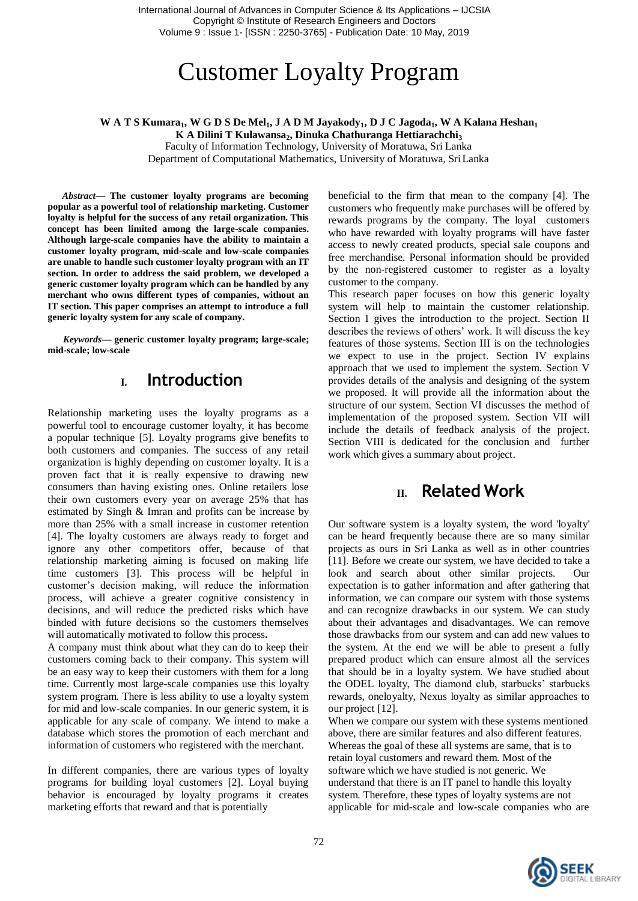International Journal of Advances in Computer Science & Its Applications – IJCSIA Copyright © Institute of Research Engineers and Doctors Volume 9 : Issue 1- [ISSN : 2250-3765] - Publication Date: 10 May, 2019

# Customer Loyalty Program

#### **W A T S Kumara1, W G D S De Mel1, J A D M Jayakody1, D J C Jagoda1, W A Kalana Heshan<sup>1</sup> K A Dilini T Kulawansa2, Dinuka Chathuranga Hettiarachchi<sup>3</sup>**

Faculty of Information Technology, University of Moratuwa, Sri Lanka

Department of Computational Mathematics, University of Moratuwa, SriLanka

*Abstract***— The customer loyalty programs are becoming popular as a powerful tool of relationship marketing. Customer loyalty is helpful for the success of any retail organization. This concept has been limited among the large-scale companies. Although large-scale companies have the ability to maintain a customer loyalty program, mid-scale and low-scale companies are unable to handle such customer loyalty program with an IT section. In order to address the said problem, we developed a generic customer loyalty program which can be handled by any merchant who owns different types of companies, without an IT section. This paper comprises an attempt to introduce a full generic loyalty system for any scale of company.**

*Keywords—* **generic customer loyalty program; large-scale; mid-scale; low-scale**

### **I. Introduction**

Relationship marketing uses the loyalty programs as a powerful tool to encourage customer loyalty, it has become a popular technique [5]. Loyalty programs give benefits to both customers and companies. The success of any retail organization is highly depending on customer loyalty. It is a proven fact that it is really expensive to drawing new consumers than having existing ones. Online retailers lose their own customers every year on average 25% that has estimated by Singh & Imran and profits can be increase by more than 25% with a small increase in customer retention [4]. The loyalty customers are always ready to forget and ignore any other competitors offer, because of that relationship marketing aiming is focused on making life time customers [3]. This process will be helpful in customer's decision making, will reduce the information process, will achieve a greater cognitive consistency in decisions, and will reduce the predicted risks which have binded with future decisions so the customers themselves will automatically motivated to follow this process**.**

A company must think about what they can do to keep their customers coming back to their company. This system will be an easy way to keep their customers with them for a long time. Currently most large-scale companies use this loyalty system program. There is less ability to use a loyalty system for mid and low-scale companies. In our generic system, it is applicable for any scale of company. We intend to make a database which stores the promotion of each merchant and information of customers who registered with the merchant.

In different companies, there are various types of loyalty programs for building loyal customers [2]. Loyal buying behavior is encouraged by loyalty programs it creates marketing efforts that reward and that is potentially

beneficial to the firm that mean to the company [4]. The customers who frequently make purchases will be offered by rewards programs by the company. The loyal customers who have rewarded with loyalty programs will have faster access to newly created products, special sale coupons and free merchandise. Personal information should be provided by the non-registered customer to register as a loyalty customer to the company.

This research paper focuses on how this generic loyalty system will help to maintain the customer relationship. Section I gives the introduction to the project. Section II describes the reviews of others' work. It will discuss the key features of those systems. Section III is on the technologies we expect to use in the project. Section IV explains approach that we used to implement the system. Section V provides details of the analysis and designing of the system we proposed. It will provide all the information about the structure of our system. Section VI discusses the method of implementation of the proposed system. Section VII will include the details of feedback analysis of the project. Section VIII is dedicated for the conclusion and further work which gives a summary about project.

### **II. Related Work**

Our software system is a loyalty system, the word 'loyalty' can be heard frequently because there are so many similar projects as ours in Sri Lanka as well as in other countries [11]. Before we create our system, we have decided to take a look and search about other similar projects. Our expectation is to gather information and after gathering that information, we can compare our system with those systems and can recognize drawbacks in our system. We can study about their advantages and disadvantages. We can remove those drawbacks from our system and can add new values to the system. At the end we will be able to present a fully prepared product which can ensure almost all the services that should be in a loyalty system. We have studied about the ODEL loyalty, The diamond club, starbucks' starbucks rewards, oneloyalty, Nexus loyalty as similar approaches to our project [12].

When we compare our system with these systems mentioned above, there are similar features and also different features. Whereas the goal of these all systems are same, that is to retain loyal customers and reward them. Most of the software which we have studied is not generic. We understand that there is an IT panel to handle this loyalty system. Therefore, these types of loyalty systems are not applicable for mid-scale and low-scale companies who are

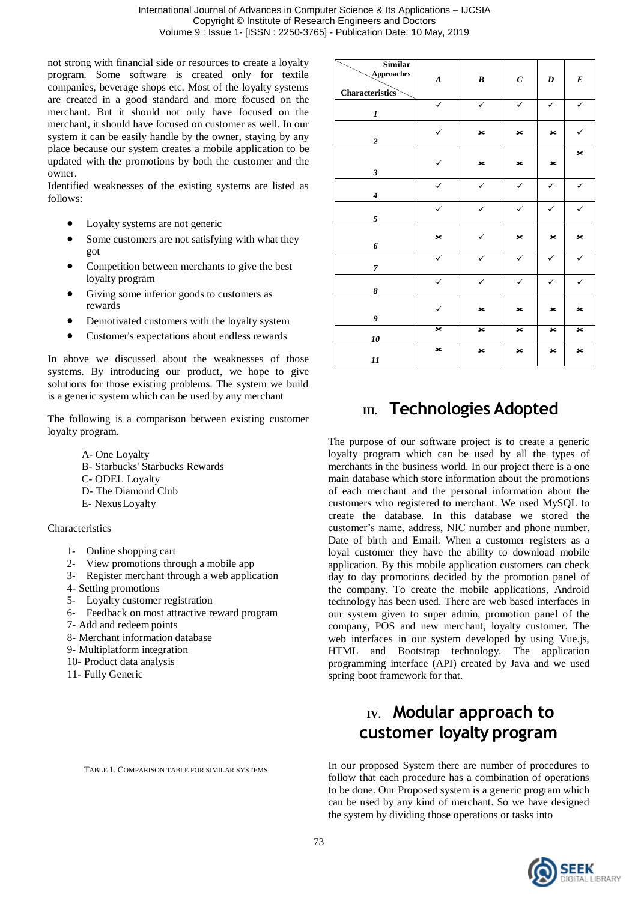not strong with financial side or resources to create a loyalty program. Some software is created only for textile companies, beverage shops etc. Most of the loyalty systems are created in a good standard and more focused on the merchant. But it should not only have focused on the merchant, it should have focused on customer as well. In our system it can be easily handle by the owner, staying by any place because our system creates a mobile application to be updated with the promotions by both the customer and the owner.

Identified weaknesses of the existing systems are listed as follows:

- Loyalty systems are not generic
- Some customers are not satisfying with what they got
- Competition between merchants to give the best loyalty program
- Giving some inferior goods to customers as rewards
- Demotivated customers with the loyalty system
- Customer's expectations about endless rewards

In above we discussed about the weaknesses of those systems. By introducing our product, we hope to give solutions for those existing problems. The system we build is a generic system which can be used by any merchant

The following is a comparison between existing customer loyalty program.

- A- One Loyalty
- B- Starbucks' Starbucks Rewards
- C- ODEL Loyalty
- D- The Diamond Club
- E- NexusLoyalty

Characteristics

- 1- Online shopping cart
- 2- View promotions through a mobile app
- 3- Register merchant through a web application
- 4- Setting promotions
- 5- Loyalty customer registration
- 6- Feedback on most attractive reward program
- 7- Add and redeem points
- 8- Merchant information database
- 9- Multiplatform integration
- 10- Product data analysis
- 11- Fully Generic

TABLE 1. COMPARISON TABLE FOR SIMILAR SYSTEMS

| <b>Similar</b><br>Approaches<br><b>Characteristics</b> | $\pmb{A}$    | $\pmb{B}$    | $\pmb{C}$      | $\boldsymbol{D}$ | $\boldsymbol{E}$ |
|--------------------------------------------------------|--------------|--------------|----------------|------------------|------------------|
| 1                                                      | $\checkmark$ | $\checkmark$ | $\checkmark$   | $\checkmark$     | $\checkmark$     |
| $\boldsymbol{2}$                                       | ✓            | $\mathbf{x}$ | $\mathbf{x}$   | $\mathbf{x}$     | ✓                |
| $\boldsymbol{\mathfrak{z}}$                            | $\checkmark$ | ×            | ×              | $\mathbf{x}$     | $\star$          |
| $\overline{\boldsymbol{4}}$                            | $\checkmark$ | $\checkmark$ | $\checkmark$   | $\checkmark$     | $\checkmark$     |
| $\sqrt{s}$                                             | ✓            | $\checkmark$ | $\checkmark$   | $\checkmark$     | $\checkmark$     |
| 6                                                      | $\star$      | $\checkmark$ | $\star$        | $\mathbf{x}$     | $\star$          |
| $\overline{7}$                                         | $\checkmark$ | $\checkmark$ | $\checkmark$   | $\checkmark$     | $\checkmark$     |
| 8                                                      | $\checkmark$ | $\checkmark$ | $\checkmark$   | $\checkmark$     | $\checkmark$     |
| 9                                                      | $\checkmark$ | $\mathbf{x}$ | $\mathbf{x}$   | $\star$          | $\star$          |
| 10                                                     | $\mathbf{x}$ | $\mathbf{x}$ | $\mathbf{x}$   | $\pmb{\times}$   | $\star$          |
| 11                                                     | $\star$      | ×            | $\pmb{\times}$ | $\mathbf{x}$     | ×                |

### **III. Technologies Adopted**

The purpose of our software project is to create a generic loyalty program which can be used by all the types of merchants in the business world. In our project there is a one main database which store information about the promotions of each merchant and the personal information about the customers who registered to merchant. We used MySQL to create the database. In this database we stored the customer's name, address, NIC number and phone number, Date of birth and Email. When a customer registers as a loyal customer they have the ability to download mobile application. By this mobile application customers can check day to day promotions decided by the promotion panel of the company. To create the mobile applications, Android technology has been used. There are web based interfaces in our system given to super admin, promotion panel of the company, POS and new merchant, loyalty customer. The web interfaces in our system developed by using Vue.js, HTML and Bootstrap technology. The application programming interface (API) created by Java and we used spring boot framework for that.

### **IV. Modular approach to customer loyalty program**

In our proposed System there are number of procedures to follow that each procedure has a combination of operations to be done. Our Proposed system is a generic program which can be used by any kind of merchant. So we have designed the system by dividing those operations or tasks into

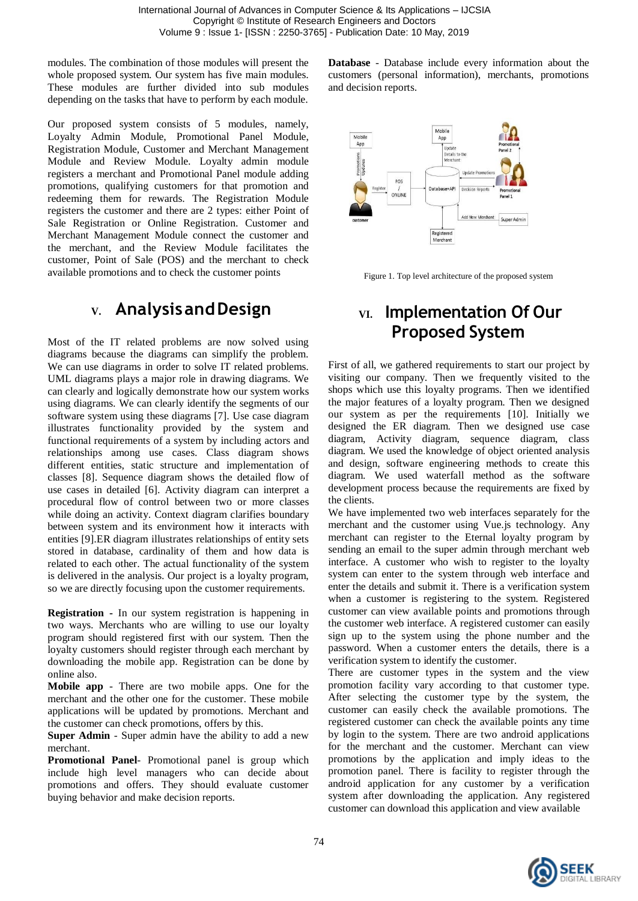modules. The combination of those modules will present the whole proposed system. Our system has five main modules. These modules are further divided into sub modules depending on the tasks that have to perform by each module.

Our proposed system consists of 5 modules, namely, Loyalty Admin Module, Promotional Panel Module, Registration Module, Customer and Merchant Management Module and Review Module. Loyalty admin module registers a merchant and Promotional Panel module adding promotions, qualifying customers for that promotion and redeeming them for rewards. The Registration Module registers the customer and there are 2 types: either Point of Sale Registration or Online Registration. Customer and Merchant Management Module connect the customer and the merchant, and the Review Module facilitates the customer, Point of Sale (POS) and the merchant to check available promotions and to check the customer points

### **V. AnalysisandDesign**

Most of the IT related problems are now solved using diagrams because the diagrams can simplify the problem. We can use diagrams in order to solve IT related problems. UML diagrams plays a major role in drawing diagrams. We can clearly and logically demonstrate how our system works using diagrams. We can clearly identify the segments of our software system using these diagrams [7]. Use case diagram illustrates functionality provided by the system and functional requirements of a system by including actors and relationships among use cases. Class diagram shows different entities, static structure and implementation of classes [8]. Sequence diagram shows the detailed flow of use cases in detailed [6]. Activity diagram can interpret a procedural flow of control between two or more classes while doing an activity. Context diagram clarifies boundary between system and its environment how it interacts with entities [9].ER diagram illustrates relationships of entity sets stored in database, cardinality of them and how data is related to each other. The actual functionality of the system is delivered in the analysis. Our project is a loyalty program, so we are directly focusing upon the customer requirements.

**Registration -** In our system registration is happening in two ways. Merchants who are willing to use our loyalty program should registered first with our system. Then the loyalty customers should register through each merchant by downloading the mobile app. Registration can be done by online also.

**Mobile app** - There are two mobile apps. One for the merchant and the other one for the customer. These mobile applications will be updated by promotions. Merchant and the customer can check promotions, offers by this.

**Super Admin** - Super admin have the ability to add a new merchant.

**Promotional Panel**- Promotional panel is group which include high level managers who can decide about promotions and offers. They should evaluate customer buying behavior and make decision reports.

**Database** - Database include every information about the customers (personal information), merchants, promotions and decision reports.



Figure 1. Top level architecture of the proposed system

## **VI. Implementation Of Our Proposed System**

First of all, we gathered requirements to start our project by visiting our company. Then we frequently visited to the shops which use this loyalty programs. Then we identified the major features of a loyalty program. Then we designed our system as per the requirements [10]. Initially we designed the ER diagram. Then we designed use case diagram, Activity diagram, sequence diagram, class diagram. We used the knowledge of object oriented analysis and design, software engineering methods to create this diagram. We used waterfall method as the software development process because the requirements are fixed by the clients.

We have implemented two web interfaces separately for the merchant and the customer using Vue.js technology. Any merchant can register to the Eternal loyalty program by sending an email to the super admin through merchant web interface. A customer who wish to register to the loyalty system can enter to the system through web interface and enter the details and submit it. There is a verification system when a customer is registering to the system. Registered customer can view available points and promotions through the customer web interface. A registered customer can easily sign up to the system using the phone number and the password. When a customer enters the details, there is a verification system to identify the customer.

There are customer types in the system and the view promotion facility vary according to that customer type. After selecting the customer type by the system, the customer can easily check the available promotions. The registered customer can check the available points any time by login to the system. There are two android applications for the merchant and the customer. Merchant can view promotions by the application and imply ideas to the promotion panel. There is facility to register through the android application for any customer by a verification system after downloading the application. Any registered customer can download this application and view available

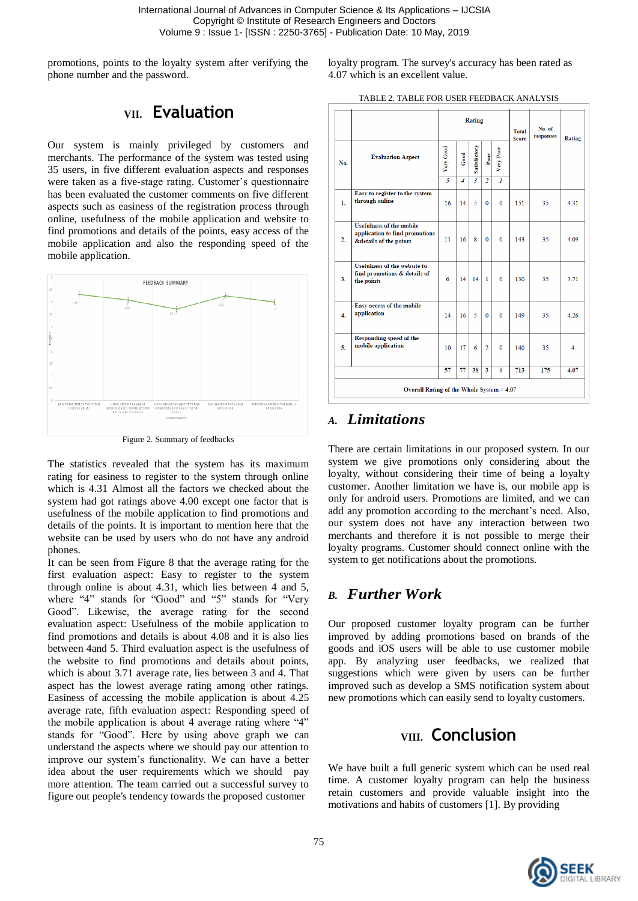International Journal of Advances in Computer Science & Its Applications – IJCSIA Copyright © Institute of Research Engineers and Doctors Volume 9 : Issue 1- [ISSN : 2250-3765] - Publication Date: 10 May, 2019

promotions, points to the loyalty system after verifying the phone number and the password.

### **VII. Evaluation**

Our system is mainly privileged by customers and merchants. The performance of the system was tested using 35 users, in five different evaluation aspects and responses were taken as a five-stage rating. Customer's questionnaire has been evaluated the customer comments on five different aspects such as easiness of the registration process through online, usefulness of the mobile application and website to find promotions and details of the points, easy access of the mobile application and also the responding speed of the mobile application.



Figure 2. Summary of feedbacks

The statistics revealed that the system has its maximum rating for easiness to register to the system through online which is 4.31 Almost all the factors we checked about the system had got ratings above 4.00 except one factor that is usefulness of the mobile application to find promotions and details of the points. It is important to mention here that the website can be used by users who do not have any android phones.

It can be seen from Figure 8 that the average rating for the first evaluation aspect: Easy to register to the system through online is about 4.31, which lies between 4 and 5, where "4" stands for "Good" and "5" stands for "Very Good". Likewise, the average rating for the second evaluation aspect: Usefulness of the mobile application to find promotions and details is about 4.08 and it is also lies between 4and 5. Third evaluation aspect is the usefulness of the website to find promotions and details about points, which is about 3.71 average rate, lies between 3 and 4. That aspect has the lowest average rating among other ratings. Easiness of accessing the mobile application is about 4.25 average rate, fifth evaluation aspect: Responding speed of the mobile application is about 4 average rating where "4" stands for "Good". Here by using above graph we can understand the aspects where we should pay our attention to improve our system's functionality. We can have a better idea about the user requirements which we should pay more attention. The team carried out a successful survey to figure out people's tendency towards the proposed customer

loyalty program. The survey's accuracy has been rated as 4.07 which is an excellent value.

|                                           |                                                                                             | Rating          |                |                |                |                | <b>Total</b><br><b>Score</b> | No. of<br>responses | <b>Rating</b> |  |
|-------------------------------------------|---------------------------------------------------------------------------------------------|-----------------|----------------|----------------|----------------|----------------|------------------------------|---------------------|---------------|--|
| No.                                       | <b>Evaluation Aspect</b>                                                                    | Very Good       | $_{\rm Good}$  | Satisfactory   | $_{\rm{Poor}}$ | Very Poor      |                              |                     |               |  |
|                                           |                                                                                             | $\overline{s}$  | $\overline{4}$ | $\overline{3}$ | $\overline{2}$ | $\overline{I}$ |                              |                     |               |  |
| $\mathbf{L}$                              | Easy to register to the system<br>through online                                            | 16              | 14             | 5              | $\mathbf{0}$   | $\mathbf{0}$   | 151                          | 35                  | 4 3 1         |  |
| 2.                                        | <b>Usefulness of the mobile</b><br>application to find promotions<br>&details of the points | 11              | 16             | 8              | $\mathbf{0}$   | $\Omega$       | 143                          | 35                  | 4 0 9         |  |
| 3.                                        | <b>Usefulness of the website to</b><br>find promotions & details of<br>the points           | 6               | 14             | 14             | $\mathbf{1}$   | $\Omega$       | 130                          | 35                  | 3.71          |  |
| 4.                                        | Easy access of the mobile<br>application                                                    | 14              | 16             | 5              | $\Omega$       | $\Omega$       | 149                          | 35                  | 4.26          |  |
| 5.                                        | <b>Responding speed of the</b><br>mobile application                                        | 10 <sup>1</sup> | 17             | 6              | $\mathcal{D}$  | $\Omega$       | 140                          | 35                  | 4             |  |
|                                           |                                                                                             | 57              | 77             | 38             | 3              | $\mathbf{0}$   | 713                          | 175                 | 4.07          |  |
| Overall Rating of the Whole System = 4.07 |                                                                                             |                 |                |                |                |                |                              |                     |               |  |

### *A. Limitations*

There are certain limitations in our proposed system. In our system we give promotions only considering about the loyalty, without considering their time of being a loyalty customer. Another limitation we have is, our mobile app is only for android users. Promotions are limited, and we can add any promotion according to the merchant's need. Also, our system does not have any interaction between two merchants and therefore it is not possible to merge their loyalty programs. Customer should connect online with the system to get notifications about the promotions.

### *B. Further Work*

Our proposed customer loyalty program can be further improved by adding promotions based on brands of the goods and iOS users will be able to use customer mobile app. By analyzing user feedbacks, we realized that suggestions which were given by users can be further improved such as develop a SMS notification system about new promotions which can easily send to loyalty customers.

### **VIII. Conclusion**

We have built a full generic system which can be used real time. A customer loyalty program can help the business retain customers and provide valuable insight into the motivations and habits of customers [1]. By providing